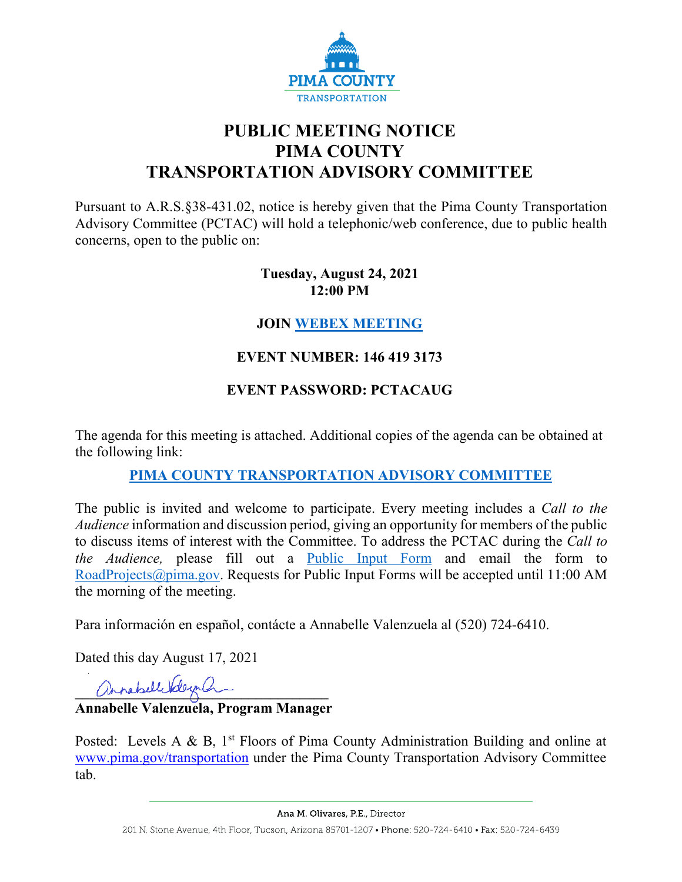

# **PUBLIC MEETING NOTICE PIMA COUNTY TRANSPORTATION ADVISORY COMMITTEE**

Pursuant to A.R.S.§38-431.02, notice is hereby given that the Pima County Transportation Advisory Committee (PCTAC) will hold a telephonic/web conference, due to public health concerns, open to the public on:

#### **Tuesday, August 24, 2021 12:00 PM**

### **JOIN [WEBEX MEETING](https://pimacounty.webex.com/mw3300/mywebex/default.do?siteurl=pimacounty&service=6)**

### **EVENT NUMBER: 146 419 3173**

## **EVENT PASSWORD: PCTACAUG**

The agenda for this meeting is attached. Additional copies of the agenda can be obtained at the following link:

#### **[PIMA COUNTY TRANSPORTATION ADVISORY COMMITTEE](https://webcms.pima.gov/cms/One.aspx?portalId=169&pageId=355530)**

The public is invited and welcome to participate. Every meeting includes a *Call to the Audience* information and discussion period, giving an opportunity for members of the public to discuss items of interest with the Committee. To address the PCTAC during the *Call to the Audience,* please fill out a [Public Input](https://webcms.pima.gov/UserFiles/Servers/Server_6/File/Government/Transportation/TransportationAdvisoryCommittee/PCTAC_Speaker_Card.pdf) Form and email the form to [RoadProjects@pima.gov.](mailto:RoadProjects@pima.gov) Requests for Public Input Forms will be accepted until 11:00 AM the morning of the meeting.

Para información en español, contácte a Annabelle Valenzuela al (520) 724-6410.

Dated this day August 17, 2021

**\_\_\_\_\_\_\_\_\_\_\_\_\_\_\_\_\_\_\_\_\_\_\_\_\_\_\_\_\_\_\_\_\_\_\_** 

### **Annabelle Valenzuela, Program Manager**

Posted: Levels A & B,  $1<sup>st</sup>$  Floors of Pima County Administration Building and online at [www.pima.gov/transportation](http://www.pima.gov/transportation) under the Pima County Transportation Advisory Committee tab.